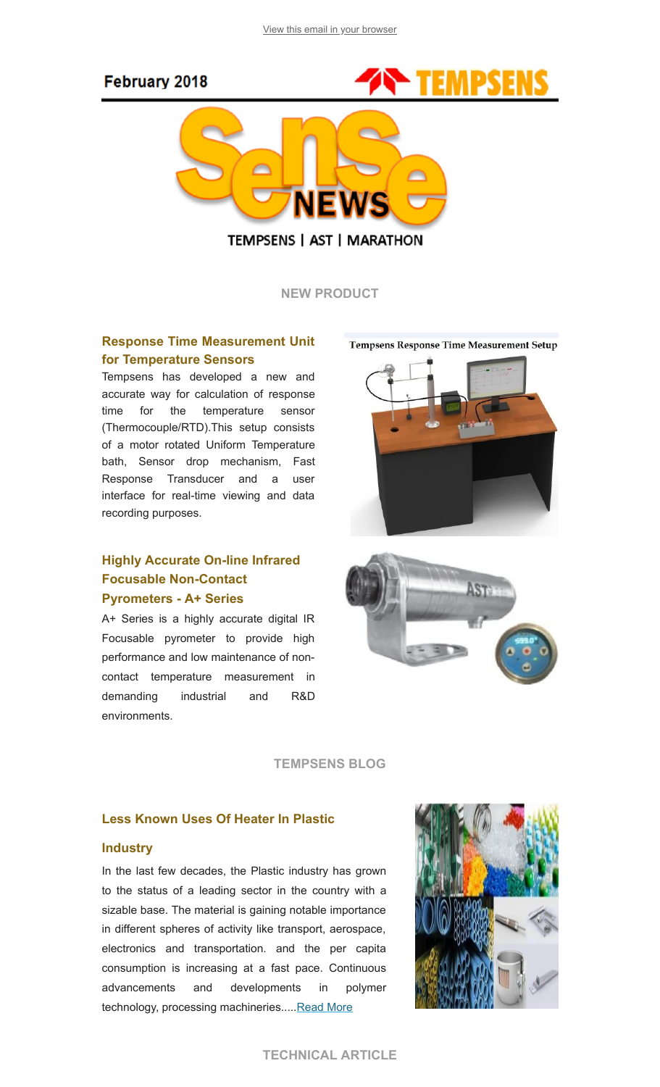# February 2018



**TEMPSENS | AST | MARATHON** 

NEW PRODUCT

### Response Time Measurement Unit for Temperature Sensors

Tempsens has developed a new and accurate way for calculation of response time for the temperature sensor (Thermocouple/RTD).This setup consists of a motor rotated Uniform Temperature bath, Sensor drop mechanism, Fast Response Transducer and a user interface for real-time viewing and data recording purposes.

## Highly Accurate On-line Infrared Focusable Non-Contact Pyrometers - A+ Series

A+ Series is a highly accurate digital IR Focusable pyrometer to provide high performance and low maintenance of noncontact temperature measurement in demanding industrial and R&D environments.

**Tempsens Response Time Measurement Setup** 





#### TEMPSENS BLOG

#### Less Known Uses Of Heater In Plastic

#### **Industry**

In the last few decades, the Plastic industry has grown to the status of a leading sector in the country with a sizable base. The material is gaining notable importance in different spheres of activity like transport, aerospace, electronics and transportation. and the per capita consumption is increasing at a fast pace. Continuous advancements and developments in polymer technology, processing machineries..... Read More

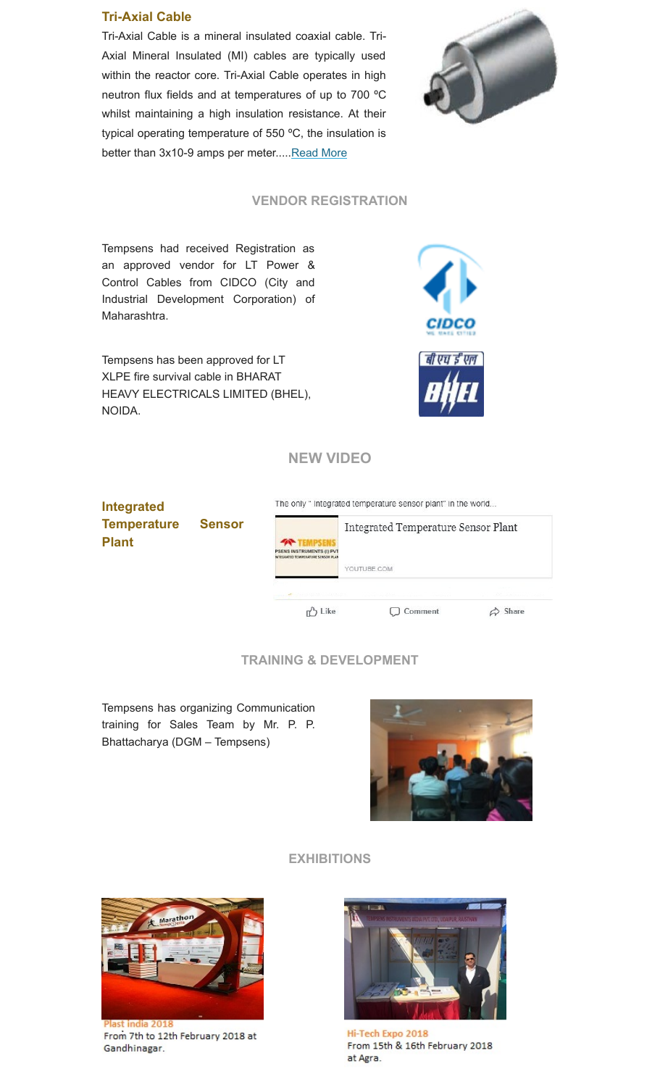#### Tri-Axial Cable

Tri-Axial Cable is a mineral insulated coaxial cable. Tri-Axial Mineral Insulated (MI) cables are typically used within the reactor core. Tri-Axial Cable operates in high neutron flux fields and at temperatures of up to 700 ºC whilst maintaining a high insulation resistance. At their typical operating temperature of 550 ºC, the insulation is better than 3x10-9 amps per meter..... Read More



### VENDOR REGISTRATION

Tempsens had received Registration as an approved vendor for LT Power & Control Cables from CIDCO (City and Industrial Development Corporation) of Maharashtra.

Tempsens has been approved for LT XLPE fire survival cable in BHARAT HEAVY ELECTRICALS LIMITED (BHEL), NOIDA.



## NEW VIDEO

The only " Integrated temperature sensor plant" in the world... Integrated Temperature Sensor Integrated Temperature Sensor Plant Plant YOUTUBE.COM  $\phi$  Share **心** Like C Comment

## TRAINING & DEVELOPMENT

Tempsens has organizing Communication training for Sales Team by Mr. P. P. Bhattacharya (DGM – Tempsens)



#### EXHIBITIONS



From 7th to 12th February 2018 at Gandhinagar.



Hi-Tech Expo 2018 From 15th & 16th February 2018 at Agra.